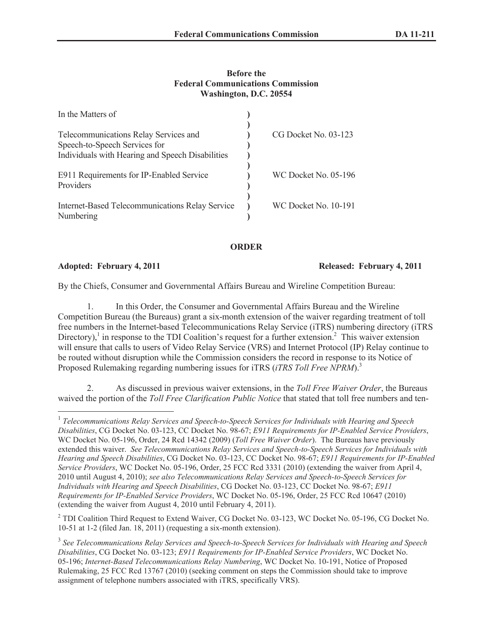## **Before the Federal Communications Commission Washington, D.C. 20554**

| In the Matters of                                                      |                      |
|------------------------------------------------------------------------|----------------------|
| Telecommunications Relay Services and<br>Speech-to-Speech Services for | CG Docket No. 03-123 |
| Individuals with Hearing and Speech Disabilities                       |                      |
| E911 Requirements for IP-Enabled Service<br>Providers                  | WC Docket No. 05-196 |
| Internet-Based Telecommunications Relay Service<br>Numbering           | WC Docket No. 10-191 |

## **ORDER**

**Adopted: February 4, 2011 Released: February 4, 2011**

By the Chiefs, Consumer and Governmental Affairs Bureau and Wireline Competition Bureau:

1. In this Order, the Consumer and Governmental Affairs Bureau and the Wireline Competition Bureau (the Bureaus) grant a six-month extension of the waiver regarding treatment of toll free numbers in the Internet-based Telecommunications Relay Service (iTRS) numbering directory (iTRS Directory),<sup>1</sup> in response to the TDI Coalition's request for a further extension.<sup>2</sup> This waiver extension will ensure that calls to users of Video Relay Service (VRS) and Internet Protocol (IP) Relay continue to be routed without disruption while the Commission considers the record in response to its Notice of Proposed Rulemaking regarding numbering issues for *iTRS (<i>iTRS Toll Free NPRM*).<sup>3</sup>

2. As discussed in previous waiver extensions, in the *Toll Free Waiver Order*, the Bureaus waived the portion of the *Toll Free Clarification Public Notice* that stated that toll free numbers and ten-

<sup>2</sup> TDI Coalition Third Request to Extend Waiver, CG Docket No. 03-123, WC Docket No. 05-196, CG Docket No. 10-51 at 1-2 (filed Jan. 18, 2011) (requesting a six-month extension).

<sup>&</sup>lt;sup>1</sup> Telecommunications Relay Services and Speech-to-Speech Services for Individuals with Hearing and Speech *Disabilities*, CG Docket No. 03-123, CC Docket No. 98-67; *E911 Requirements for IP-Enabled Service Providers*, WC Docket No. 05-196, Order, 24 Rcd 14342 (2009) (*Toll Free Waiver Order*). The Bureaus have previously extended this waiver. *See Telecommunications Relay Services and Speech-to-Speech Services for Individuals with Hearing and Speech Disabilities*, CG Docket No. 03-123, CC Docket No. 98-67; *E911 Requirements for IP-Enabled Service Providers*, WC Docket No. 05-196, Order, 25 FCC Rcd 3331 (2010) (extending the waiver from April 4, 2010 until August 4, 2010); *see also Telecommunications Relay Services and Speech-to-Speech Services for Individuals with Hearing and Speech Disabilities*, CG Docket No. 03-123, CC Docket No. 98-67; *E911 Requirements for IP-Enabled Service Providers*, WC Docket No. 05-196, Order, 25 FCC Rcd 10647 (2010) (extending the waiver from August 4, 2010 until February 4, 2011).

<sup>3</sup> *See Telecommunications Relay Services and Speech-to-Speech Services for Individuals with Hearing and Speech Disabilities*, CG Docket No. 03-123; *E911 Requirements for IP-Enabled Service Providers*, WC Docket No. 05-196; *Internet-Based Telecommunications Relay Numbering*, WC Docket No. 10-191, Notice of Proposed Rulemaking, 25 FCC Rcd 13767 (2010) (seeking comment on steps the Commission should take to improve assignment of telephone numbers associated with iTRS, specifically VRS).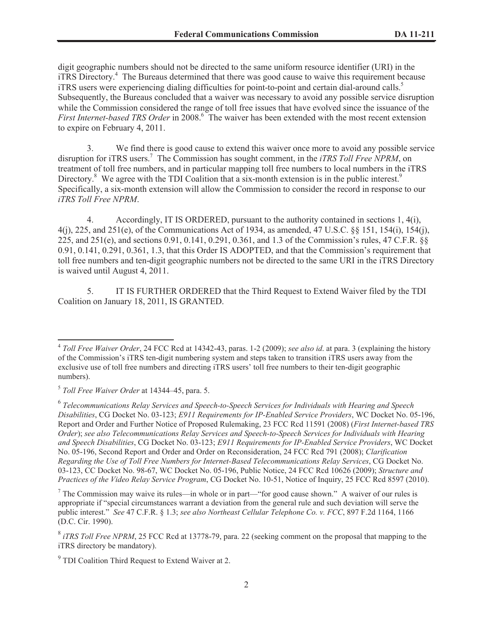digit geographic numbers should not be directed to the same uniform resource identifier (URI) in the iTRS Directory.<sup>4</sup> The Bureaus determined that there was good cause to waive this requirement because iTRS users were experiencing dialing difficulties for point-to-point and certain dial-around calls.<sup>5</sup> Subsequently, the Bureaus concluded that a waiver was necessary to avoid any possible service disruption while the Commission considered the range of toll free issues that have evolved since the issuance of the *First Internet-based TRS Order* in 2008.<sup>6</sup> The waiver has been extended with the most recent extension to expire on February 4, 2011.

3. We find there is good cause to extend this waiver once more to avoid any possible service disruption for iTRS users.<sup>7</sup> The Commission has sought comment, in the *iTRS Toll Free NPRM*, on treatment of toll free numbers, and in particular mapping toll free numbers to local numbers in the iTRS Directory.<sup>8</sup> We agree with the TDI Coalition that a six-month extension is in the public interest.<sup>9</sup> Specifically, a six-month extension will allow the Commission to consider the record in response to our *iTRS Toll Free NPRM*.

4. Accordingly, IT IS ORDERED, pursuant to the authority contained in sections 1, 4(i), 4(j), 225, and 251(e), of the Communications Act of 1934, as amended, 47 U.S.C. §§ 151, 154(i), 154(j), 225, and 251(e), and sections 0.91, 0.141, 0.291, 0.361, and 1.3 of the Commission's rules, 47 C.F.R. §§ 0.91, 0.141, 0.291, 0.361, 1.3, that this Order IS ADOPTED, and that the Commission's requirement that toll free numbers and ten-digit geographic numbers not be directed to the same URI in the iTRS Directory is waived until August 4, 2011.

5. IT IS FURTHER ORDERED that the Third Request to Extend Waiver filed by the TDI Coalition on January 18, 2011, IS GRANTED.

<sup>4</sup> *Toll Free Waiver Order*, 24 FCC Rcd at 14342-43, paras. 1-2 (2009); *see also id*. at para. 3 (explaining the history of the Commission's iTRS ten-digit numbering system and steps taken to transition iTRS users away from the exclusive use of toll free numbers and directing iTRS users' toll free numbers to their ten-digit geographic numbers).

<sup>5</sup> *Toll Free Waiver Order* at 14344–45, para. 5.

<sup>6</sup> *Telecommunications Relay Services and Speech-to-Speech Services for Individuals with Hearing and Speech Disabilities*, CG Docket No. 03-123; *E911 Requirements for IP-Enabled Service Providers*, WC Docket No. 05-196, Report and Order and Further Notice of Proposed Rulemaking, 23 FCC Rcd 11591 (2008) (*First Internet-based TRS Order*); *see also Telecommunications Relay Services and Speech-to-Speech Services for Individuals with Hearing and Speech Disabilities*, CG Docket No. 03-123; *E911 Requirements for IP-Enabled Service Providers*, WC Docket No. 05-196, Second Report and Order and Order on Reconsideration, 24 FCC Rcd 791 (2008); *Clarification Regarding the Use of Toll Free Numbers for Internet-Based Telecommunications Relay Services*, CG Docket No. 03-123, CC Docket No. 98-67, WC Docket No. 05-196, Public Notice, 24 FCC Rcd 10626 (2009); *Structure and Practices of the Video Relay Service Program*, CG Docket No. 10-51, Notice of Inquiry, 25 FCC Rcd 8597 (2010).

<sup>&</sup>lt;sup>7</sup> The Commission may waive its rules—in whole or in part—"for good cause shown." A waiver of our rules is appropriate if "special circumstances warrant a deviation from the general rule and such deviation will serve the public interest." *See* 47 C.F.R. § 1.3; *see also Northeast Cellular Telephone Co. v. FCC*, 897 F.2d 1164, 1166 (D.C. Cir. 1990).

<sup>&</sup>lt;sup>8</sup> *iTRS Toll Free NPRM*, 25 FCC Rcd at 13778-79, para. 22 (seeking comment on the proposal that mapping to the iTRS directory be mandatory).

 $9^9$  TDI Coalition Third Request to Extend Waiver at 2.